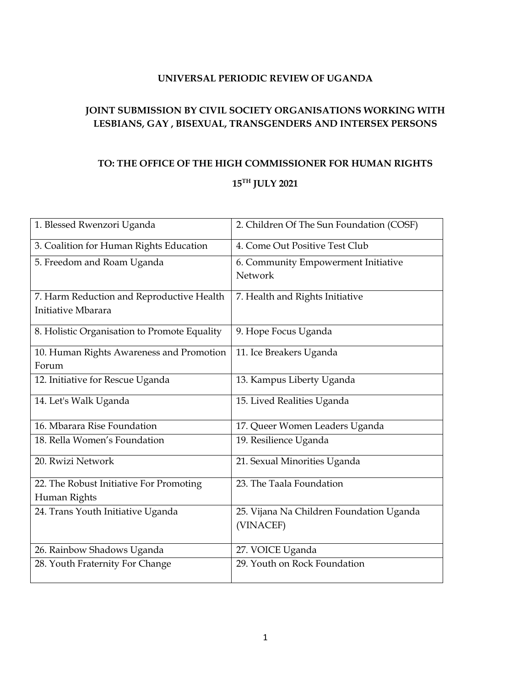#### **UNIVERSAL PERIODIC REVIEW OF UGANDA**

## <span id="page-0-0"></span>**JOINT SUBMISSION BY CIVIL SOCIETY ORGANISATIONS WORKING WITH LESBIANS, GAY , BISEXUAL, TRANSGENDERS AND INTERSEX PERSONS**

# **TO: THE OFFICE OF THE HIGH COMMISSIONER FOR HUMAN RIGHTS 15TH JULY 2021**

| 1. Blessed Rwenzori Uganda                   | 2. Children Of The Sun Foundation (COSF) |
|----------------------------------------------|------------------------------------------|
| 3. Coalition for Human Rights Education      | 4. Come Out Positive Test Club           |
| 5. Freedom and Roam Uganda                   | 6. Community Empowerment Initiative      |
|                                              | Network                                  |
| 7. Harm Reduction and Reproductive Health    | 7. Health and Rights Initiative          |
| Initiative Mbarara                           |                                          |
| 8. Holistic Organisation to Promote Equality | 9. Hope Focus Uganda                     |
| 10. Human Rights Awareness and Promotion     | 11. Ice Breakers Uganda                  |
| Forum                                        |                                          |
| 12. Initiative for Rescue Uganda             | 13. Kampus Liberty Uganda                |
| 14. Let's Walk Uganda                        | 15. Lived Realities Uganda               |
| 16. Mbarara Rise Foundation                  | 17. Queer Women Leaders Uganda           |
| 18. Rella Women's Foundation                 | 19. Resilience Uganda                    |
| 20. Rwizi Network                            | 21. Sexual Minorities Uganda             |
| 22. The Robust Initiative For Promoting      | 23. The Taala Foundation                 |
| Human Rights                                 |                                          |
| 24. Trans Youth Initiative Uganda            | 25. Vijana Na Children Foundation Uganda |
|                                              | (VINACEF)                                |
| 26. Rainbow Shadows Uganda                   | 27. VOICE Uganda                         |
| 28. Youth Fraternity For Change              | 29. Youth on Rock Foundation             |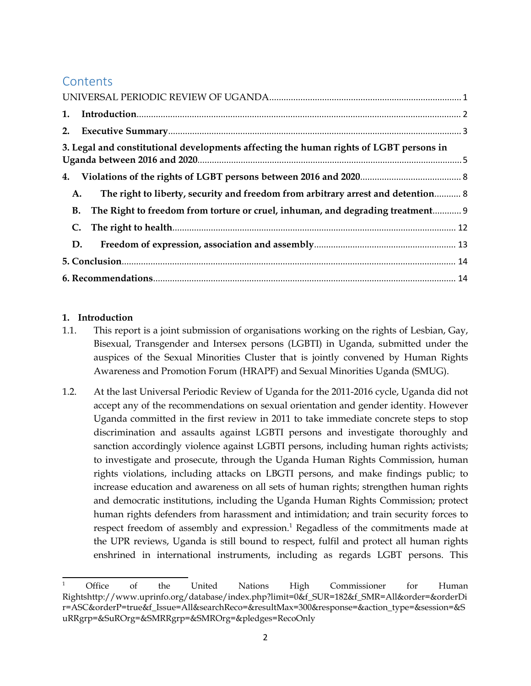## **Contents**

|    | 3. Legal and constitutional developments affecting the human rights of LGBT persons in |  |
|----|----------------------------------------------------------------------------------------|--|
|    |                                                                                        |  |
| A. | The right to liberty, security and freedom from arbitrary arrest and detention 8       |  |
|    | B. The Right to freedom from torture or cruel, inhuman, and degrading treatment 9      |  |
|    |                                                                                        |  |
|    | D.                                                                                     |  |
|    |                                                                                        |  |
|    |                                                                                        |  |

#### **1. Introduction**

- 1.1. This repor<sup>t</sup> is <sup>a</sup> joint submission of organisations working on the rights of Lesbian, Gay, Bisexual, Transgender and Intersex persons (LGBTI) in Uganda, submitted under the auspices of the Sexual Minorities Cluster that is jointly convened by Human Rights Awareness and Promotion Forum (HRAPF) and Sexual Minorities Uganda (SMUG).
- 1.2. At the last Universal Periodic Review of Uganda for the 2011-2016 cycle, Uganda did not accep<sup>t</sup> any of the recommendations on sexual orientation and gender identity. However Uganda committed in the first review in 2011 to take immediate concrete steps to stop discrimination and assaults against LGBTI persons and investigate thoroughly and sanction accordingly violence against LGBTI persons, including human rights activists; to investigate and prosecute, through the Uganda Human Rights Commission, human rights violations, including attacks on LBGTI persons, and make findings public; to increase education and awareness on all sets of human rights; strengthen human rights and democratic institutions, including the Uganda Human Rights Commission; protect human rights defenders from harassment and intimidation; and train security forces to respec<sup>t</sup> freedom of assembly and expression. 1 Regadless of the commitments made at the UPR reviews, Uganda is still bound to respect, fulfil and protect all human rights enshrined in international instruments, including as regards LGBT persons. This

Office of the United Nations High Commissioner for Human Rightshttp://www.uprinfo.org/database/index.php?limit=0&f\_SUR=182&f\_SMR=All&order=&orderDi r=ASC&orderP=true&f\_Issue=All&searchReco=&resultMax=300&response=&action\_type=&session=&S uRRgrp=&SuROrg=&SMRRgrp=&SMROrg=&pledges=RecoOnly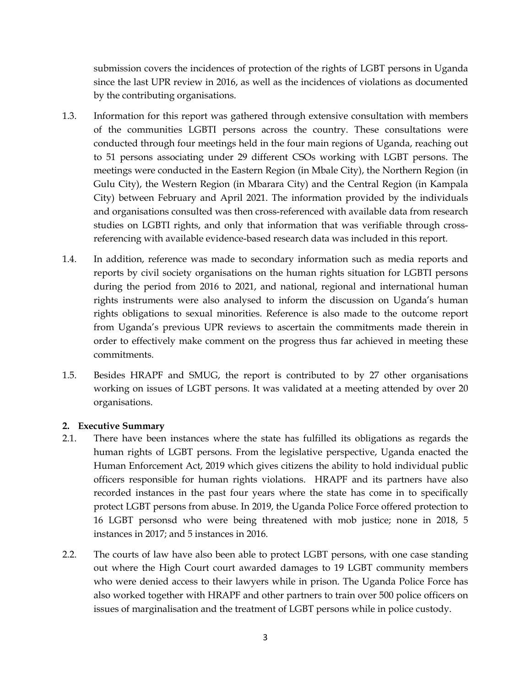<span id="page-2-0"></span>submission covers the incidences of protection of the rights of LGBT persons in Uganda since the last UPR review in 2016, as well as the incidences of violations as documented by the contributing organisations.

- 1.3. Information for this repor<sup>t</sup> was gathered through extensive consultation with members of the communities LGBTI persons across the country. These consultations were conducted through four meetings held in the four main regions of Uganda, reaching out to 51 persons associating under 29 different CSOs working with LGBT persons. The meetings were conducted in the Eastern Region (in Mbale City), the Northern Region (in Gulu City), the Western Region (in Mbarara City) and the Central Region (in Kampala City) between February and April 2021. The information provided by the individuals and organisations consulted was then cross-referenced with available data from research studies on LGBTI rights, and only that information that was verifiable through crossreferencing with available evidence-based research data was included in this report.
- 1.4. In addition, reference was made to secondary information such as media reports and reports by civil society organisations on the human rights situation for LGBTI persons during the period from 2016 to 2021, and national, regional and international human rights instruments were also analysed to inform the discussion on Uganda'<sup>s</sup> human rights obligations to sexual minorities. Reference is also made to the outcome repor<sup>t</sup> from Uganda'<sup>s</sup> previous UPR reviews to ascertain the commitments made therein in order to effectively make comment on the progress thus far achieved in meeting these commitments.
- 1.5. Besides HRAPF and SMUG, the repor<sup>t</sup> is contributed to by <sup>27</sup> other organisations working on issues of LGBT persons. It was validated at <sup>a</sup> meeting attended by over 20 organisations.

#### **2. Executive Summary**

- 2.1. There have been instances where the state has fulfilled its obligations as regards the human rights of LGBT persons. From the legislative perspective, Uganda enacted the Human Enforcement Act, 2019 which gives citizens the ability to hold individual public officers responsible for human rights violations. HRAPF and its partners have also recorded instances in the pas<sup>t</sup> four years where the state has come in to specifically protect LGBT persons from abuse. In 2019, the Uganda Police Force offered protection to 16 LGBT personsd who were being threatened with mob justice; none in 2018, 5 instances in 2017; and 5 instances in 2016.
- 2.2. The courts of law have also been able to protect LGBT persons, with one case standing out where the High Court court awarded damages to 19 LGBT community members who were denied access to their lawyers while in prison. The Uganda Police Force has also worked together with HRAPF and other partners to train over 500 police officers on issues of marginalisation and the treatment of LGBT persons while in police custody.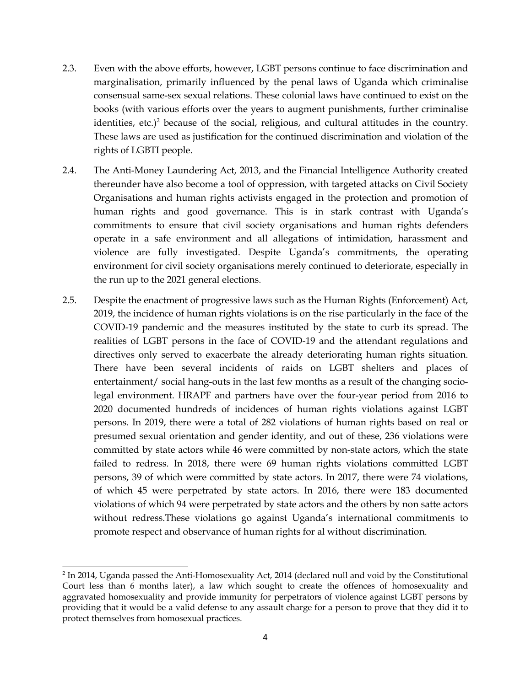- 2.3. Even with the above efforts, however, LGBT persons continue to face discrimination and marginalisation, primarily influenced by the penal laws of Uganda which criminalise consensual same-sex sexual relations. These colonial laws have continued to exist on the books (with various efforts over the years to augmen<sup>t</sup> punishments, further criminalise identities, etc.) 2 because of the social, religious, and cultural attitudes in the country. These laws are used as justification for the continued discrimination and violation of the rights of LGBTI people.
- 2.4. The Anti-Money Laundering Act, 2013, and the Financial Intelligence Authority created thereunder have also become <sup>a</sup> tool of oppression, with targeted attacks on Civil Society Organisations and human rights activists engaged in the protection and promotion of human rights and good governance. This is in stark contrast with Uganda'<sup>s</sup> commitments to ensure that civil society organisations and human rights defenders operate in <sup>a</sup> safe environment and all allegations of intimidation, harassment and violence are fully investigated. Despite Uganda'<sup>s</sup> commitments, the operating environment for civil society organisations merely continued to deteriorate, especially in the run up to the 2021 general elections.
- 2.5. Despite the enactment of progressive laws such as the Human Rights (Enforcement) Act, 2019, the incidence of human rights violations is on the rise particularly in the face of the COVID-19 pandemic and the measures instituted by the state to curb its spread. The realities of LGBT persons in the face of COVID-19 and the attendant regulations and directives only served to exacerbate the already deteriorating human rights situation. There have been several incidents of raids on LGBT shelters and places of entertainment/ social hang-outs in the last few months as <sup>a</sup> result of the changing sociolegal environment. HRAPF and partners have over the four-year period from 2016 to 2020 documented hundreds of incidences of human rights violations against LGBT persons. In 2019, there were <sup>a</sup> total of 282 violations of human rights based on real or presumed sexual orientation and gender identity, and out of these, 236 violations were committed by state actors while 46 were committed by non-state actors, which the state failed to redress. In 2018, there were 69 human rights violations committed LGBT persons, 39 of which were committed by state actors. In 2017, there were <sup>74</sup> violations, of which 45 were perpetrated by state actors. In 2016, there were 183 documented violations of which 94 were perpetrated by state actors and the others by non satte actors without redress.These violations go against Uganda'<sup>s</sup> international commitments to promote respec<sup>t</sup> and observance of human rights for al without discrimination.

<sup>&</sup>lt;sup>2</sup> In 2014, Uganda passed the Anti-Homosexuality Act, 2014 (declared null and void by the Constitutional Court less than 6 months later), <sup>a</sup> law which sought to create the offences of homosexuality and aggravated homosexuality and provide immunity for perpetrators of violence against LGBT persons by providing that it would be <sup>a</sup> valid defense to any assault charge for <sup>a</sup> person to prove that they did it to protect themselves from homosexual practices.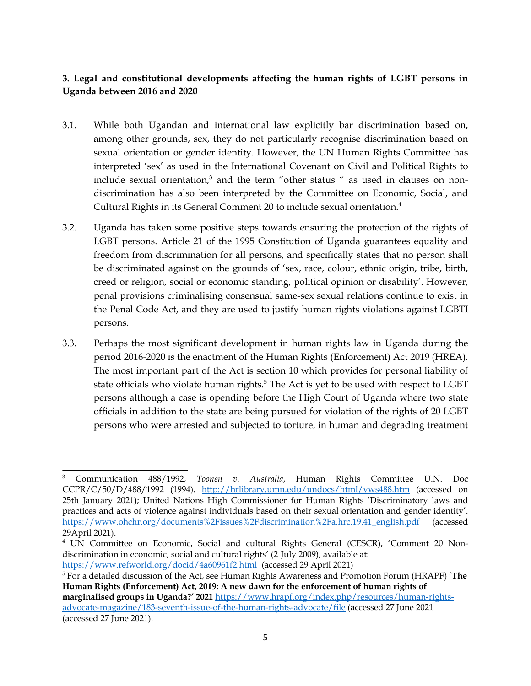## <span id="page-4-0"></span>**3. Legal and constitutional developments affecting the human rights of LGBT persons in Uganda between 2016 and 2020**

- 3.1. While both Ugandan and international law explicitly bar discrimination based on, among other grounds, sex, they do not particularly recognise discrimination based on sexual orientation or gender identity. However, the UN Human Rights Committee has interpreted 'sex' as used in the International Covenant on Civil and Political Rights to include sexual orientation, 3 and the term "other status " as used in clauses on nondiscrimination has also been interpreted by the Committee on Economic, Social, and Cultural Rights in its General Comment 20 to include sexual orientation. 4
- 3.2. Uganda has taken some positive steps towards ensuring the protection of the rights of LGBT persons. Article <sup>21</sup> of the 1995 Constitution of Uganda guarantees equality and freedom from discrimination for all persons, and specifically states that no person shall be discriminated against on the grounds of 'sex, race, colour, ethnic origin, tribe, birth, creed or religion, social or economic standing, political opinion or disability'. However, penal provisions criminalising consensual same-sex sexual relations continue to exist in the Penal Code Act, and they are used to justify human rights violations against LGBTI persons.
- 3.3. Perhaps the most significant development in human rights law in Uganda during the period 2016-2020 is the enactment of the Human Rights (Enforcement) Act 2019 (HREA). The most important par<sup>t</sup> of the Act is section 10 which provides for personal liability of state officials who violate human rights.<sup>5</sup> The Act is yet to be used with respect to LGBT persons although <sup>a</sup> case is opending before the High Court of Uganda where two state officials in addition to the state are being pursued for violation of the rights of 20 LGBT persons who were arrested and subjected to torture, in human and degrading treatment

<sup>3</sup> Communication 488/1992, *Toonen v. Australia*, Human Rights Committee U.N. Doc CCPR/C/50/D/488/1992 (1994). <http://hrlibrary.umn.edu/undocs/html/vws488.htm> (accessed on 25th January 2021); United Nations High Commissioner for Human Rights 'Discriminatory laws and practices and acts of violence against individuals based on their sexual orientation and gender identity'. [https://www.ohchr.org/documents%2Fissues%2Fdiscrimination%2Fa.hrc.19.41\\_english.pdf](https://www.ohchr.org/documents%2Fissues%2Fdiscrimination%2Fa.hrc.19.41_english.pdf) (accessed 29April 2021).

<sup>4</sup> UN Committee on Economic, Social and cultural Rights General (CESCR), 'Comment <sup>20</sup> Nondiscrimination in economic, social and cultural rights' (2 July 2009), available at: <https://www.refworld.org/docid/4a60961f2.html> (accessed 29 April 2021)

<sup>5</sup> For <sup>a</sup> detailed discussion of the Act, see Human Rights Awareness and Promotion Forum (HRAPF) '**The Human Rights (Enforcement) Act, 2019: Anew dawn for the enforcement of human rights of marginalised groups in Uganda?' <sup>2021</sup>** [https://www.hrapf.org/index.php/resources/human-rights](https://www.hrapf.org/index.php/resources/human-rights-advocate-magazine/183-seventh-issue-of-the-human-rights-advocate/file)[advocate-magazine/183-seventh-issue-of-the-human-rights-advocate/file](https://www.hrapf.org/index.php/resources/human-rights-advocate-magazine/183-seventh-issue-of-the-human-rights-advocate/file) (accessed <sup>27</sup> June 2021 (accessed 27 June 2021).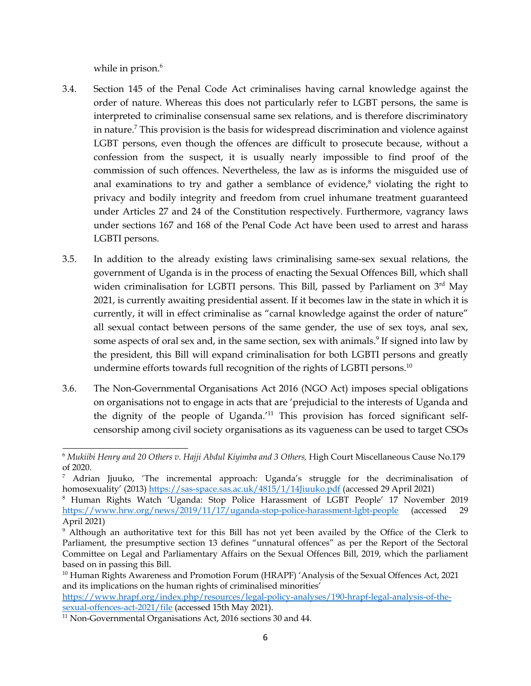while in prison. 6

- 3.4. Section 145 of the Penal Code Act criminalises having carnal knowledge against the order of nature. Whereas this does not particularly refer to LGBT persons, the same is interpreted to criminalise consensual same sex relations, and is therefore discriminatory in nature. 7 This provision is the basis for widespread discrimination and violence against LGBT persons, even though the offences are difficult to prosecute because, without <sup>a</sup> confession from the suspect, it is usually nearly impossible to find proof of the commission of such offences. Nevertheless, the law as is informs the misguided use of anal examinations to try and gather <sup>a</sup> semblance of evidence, 8 violating the right to privacy and bodily integrity and freedom from cruel inhumane treatment guaranteed under Articles <sup>27</sup> and <sup>24</sup> of the Constitution respectively. Furthermore, vagrancy laws under sections 167 and 168 of the Penal Code Act have been used to arrest and harass LGBTI persons.
- 3.5. In addition to the already existing laws criminalising same-sex sexual relations, the governmen<sup>t</sup> of Uganda is in the process of enacting the Sexual Offences Bill, which shall widen criminalisation for LGBTI persons. This Bill, passed by Parliament on  $3<sup>rd</sup>$  May 2021, is currently awaiting presidential assent. If it becomes law in the state in which it is currently, it will in effect criminalise as "carnal knowledge against the order of nature" all sexual contact between persons of the same gender, the use of sex toys, anal sex, some aspects of oral sex and, in the same section, sex with animals. 9 If signed into law by the president, this Bill will expand criminalisation for both LGBTI persons and greatly undermine efforts towards full recognition of the rights of LGBTI persons. $^{\rm 10}$
- 3.6. The Non-Governmental Organisations Act 2016 (NGO Act) imposes special obligations on organisations not to engage in acts that are 'prejudicial to the interests of Uganda and the dignity of the people of Uganda.'<sup>11</sup> This provision has forced significant selfcensorship among civil society organisations as its vagueness can be used to target CSOs

[https://www.hrapf.org/index.php/resources/legal-policy-analyses/190-hrapf-legal-analysis-of-the](https://www.hrapf.org/index.php/resources/legal-policy-analyses/190-hrapf-legal-analysis-of-the-sexual-offences-act-2021/file)[sexual-offences-act-2021/file](https://www.hrapf.org/index.php/resources/legal-policy-analyses/190-hrapf-legal-analysis-of-the-sexual-offences-act-2021/file) (accessed 15th May 2021).

<sup>6</sup> *Mukiibi Henry and <sup>20</sup> Others v. Hajji Abdul Kiyimba and <sup>3</sup> Others,* High Court Miscellaneous Cause No.179 of 2020.

 $<sup>7</sup>$  Adrian Jjuuko, 'The incremental approach: Uganda's struggle for the decriminalisation of</sup> homosexuality' (2013) <https://sas-space.sas.ac.uk/4815/1/14Jiuuko.pdf> (accessed 29 April 2021)

<sup>8</sup> Human Rights Watch 'Uganda: Stop Police Harassment of LGBT People' <sup>17</sup> November <sup>2019</sup> <https://www.hrw.org/news/2019/11/17/uganda-stop-police-harassment-lgbt-people> (accessed 29 April 2021)

<sup>9</sup> Although an authoritative text for this Bill has not ye<sup>t</sup> been availed by the Office of the Clerk to Parliament, the presumptive section 13 defines "unnatural offences" as per the Report of the Sectoral Committee on Legal and Parliamentary Affairs on the Sexual Offences Bill, 2019, which the parliament based on in passing this Bill.

<sup>&</sup>lt;sup>10</sup> Human Rights Awareness and Promotion Forum (HRAPF) 'Analysis of the Sexual Offences Act, 2021 and its implications on the human rights of criminalised minorities'

<sup>&</sup>lt;sup>11</sup> Non-Governmental Organisations Act, 2016 sections 30 and 44.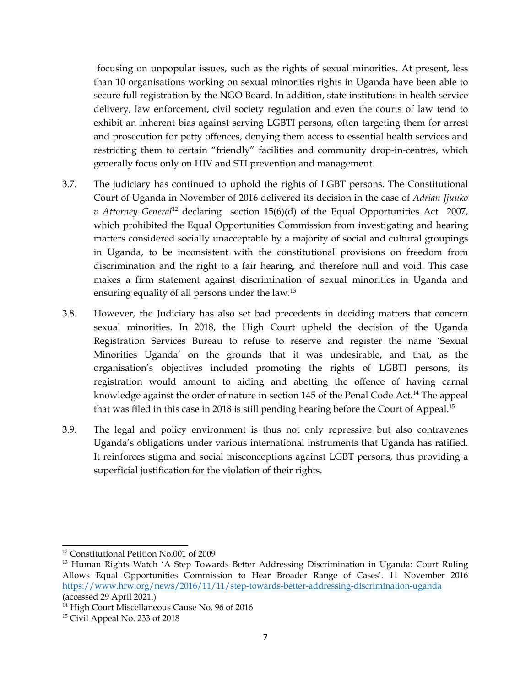focusing on unpopular issues, such as the rights of sexual minorities. At present, less than 10 organisations working on sexual minorities rights in Uganda have been able to secure full registration by the NGO Board. In addition, state institutions in health service delivery, law enforcement, civil society regulation and even the courts of law tend to exhibit an inherent bias against serving LGBTI persons, often targeting them for arrest and prosecution for petty offences, denying them access to essential health services and restricting them to certain "friendly" facilities and community drop-in-centres, which generally focus only on HIV and STI prevention and management.

- 3.7. The judiciary has continued to uphold the rights of LGBT persons. The Constitutional Court of Uganda in November of 2016 delivered its decision in the case of *Adrian Jjuuko v* Attorney General<sup>12</sup> declaring section 15(6)(d) of the Equal Opportunities Act 2007, which prohibited the Equal Opportunities Commission from investigating and hearing matters considered socially unacceptable by <sup>a</sup> majority of social and cultural groupings in Uganda, to be inconsistent with the constitutional provisions on freedom from discrimination and the right to <sup>a</sup> fair hearing, and therefore null and void. This case makes <sup>a</sup> firm statement against discrimination of sexual minorities in Uganda and ensuring equality of all persons under the law.<sup>13</sup>
- 3.8. However, the Judiciary has also set bad precedents in deciding matters that concern sexual minorities. In 2018, the High Court upheld the decision of the Uganda Registration Services Bureau to refuse to reserve and register the name 'Sexual Minorities Uganda' on the grounds that it was undesirable, and that, as the organisation'<sup>s</sup> objectives included promoting the rights of LGBTI persons, its registration would amount to aiding and abetting the offence of having carnal knowledge against the order of nature in section 145 of the Penal Code Act.<sup>14</sup> The appeal that was filed in this case in 2018 is still pending hearing before the Court of Appeal.<sup>15</sup>
- 3.9. The legal and policy environment is thus not only repressive but also contravenes Uganda'<sup>s</sup> obligations under various international instruments that Uganda has ratified. It reinforces stigma and social misconceptions against LGBT persons, thus providing <sup>a</sup> superficial justification for the violation of their rights.

<sup>&</sup>lt;sup>12</sup> Constitutional Petition No.001 of 2009

<sup>&</sup>lt;sup>13</sup> Human Rights Watch 'A Step Towards Better Addressing Discrimination in Uganda: Court Ruling Allows Equal Opportunities Commission to Hear Broader Range of Cases'. <sup>11</sup> November 2016 <https://www.hrw.org/news/2016/11/11/step-towards-better-addressing-discrimination-uganda> (accessed 29 April 2021.)

<sup>&</sup>lt;sup>14</sup> High Court Miscellaneous Cause No. 96 of 2016

<sup>15</sup> Civil Appeal No. 233 of 2018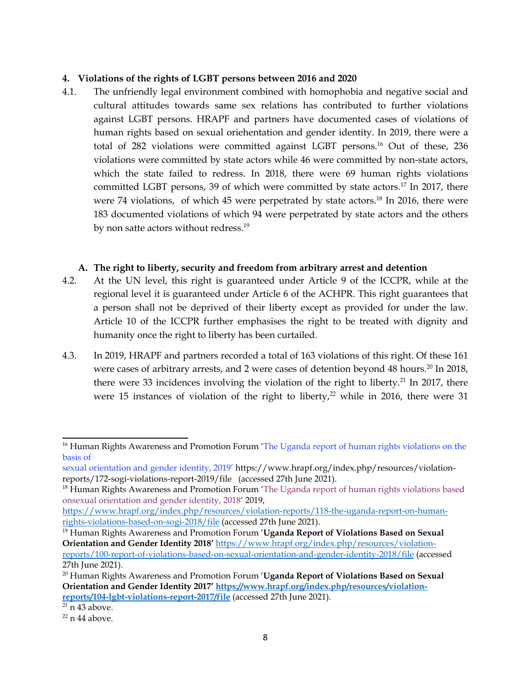#### <span id="page-7-0"></span>**4. Violations of the rights of LGBT persons between 2016 and 2020**

4.1. The unfriendly legal environment combined with homophobia and negative social and cultural attitudes towards same sex relations has contributed to further violations against LGBT persons. HRAPF and partners have documented cases of violations of human rights based on sexual oriehentation and gender identity. In 2019, there were <sup>a</sup> total of 282 violations were committed against LGBT persons. <sup>16</sup> Out of these, 236 violations were committed by state actors while 46 were committed by non-state actors, which the state failed to redress. In 2018, there were 69 human rights violations committed LGBT persons, 39 of which were committed by state actors.<sup>17</sup> In 2017, there were 74 violations, of which 45 were perpetrated by state actors.<sup>18</sup> In 2016, there were 183 documented violations of which 94 were perpetrated by state actors and the others by non satte actors without redress. 19

#### **A. The right to liberty, security and freedom from arbitrary arrest and detention**

- 4.2. At the UN level, this right is guaranteed under Article 9 of the ICCPR, while at the regional level it is guaranteed under Article 6 of the ACHPR. This right guarantees that <sup>a</sup> person shall not be deprived of their liberty excep<sup>t</sup> as provided for under the law. Article 10 of the ICCPR further emphasises the right to be treated with dignity and humanity once the right to liberty has been curtailed.
- 4.3. In 2019, HRAPF and partners recorded <sup>a</sup> total of 163 violations of this right. Of these 161 were cases of arbitrary arrests, and 2 were cases of detention beyond 48 hours. $^{20}$  In 2018, there were 33 incidences involving the violation of the right to liberty.<sup>21</sup> In 2017, there were 15 instances of violation of the right to liberty, $^{22}$  while in 2016, there were 31

[https://www.hrapf.org/index.php/resources/violation-reports/118-the-uganda-report-on-human](https://www.hrapf.org/index.php/resources/violation-reports/118-the-uganda-report-on-human-rights-violations-based-on-sogi-2018/file)[rights-violations-based-on-sogi-2018/file](https://www.hrapf.org/index.php/resources/violation-reports/118-the-uganda-report-on-human-rights-violations-based-on-sogi-2018/file) (accessed 27th June 2021).

<sup>&</sup>lt;sup>16</sup> Human Rights Awareness and Promotion Forum 'The Uganda report of human rights violations on the basis of

sexual orientation and gender identity, 2019' https://www.hrapf.org/index.php/resources/violationreports/172-sogi-violations-report-2019/file (accessed 27th June 2021).

<sup>&</sup>lt;sup>18</sup> Human Rights Awareness and Promotion Forum 'The Uganda report of human rights violations based onsexual orientation and gender identity, <sup>2018</sup>' 2019,

<sup>19</sup> Human Rights Awareness and Promotion Forum '**Uganda Report of Violations Based on Sexual Orientation and Gender Identity <sup>2018</sup>'** [https://www.hrapf.org/index.php/resources/violation](https://www.hrapf.org/index.php/resources/violation-reports/100-report-of-violations-based-on-sexual-orientation-and-gender-identity-2018/file)repor[ts/100-report-of-violations-based-on-sexual-orientation-and-gender-identity-2018/file](https://www.hrapf.org/index.php/resources/violation-reports/100-report-of-violations-based-on-sexual-orientation-and-gender-identity-2018/file) (accessed 27th June 2021).

<sup>20</sup> Human Rights Awareness and Promotion Forum '**Uganda Report of Violations Based on Sexual Orientation and Gender Identity 2017' [https://www.hrapf.org/index.php/resources/violation](https://www.hrapf.org/index.php/resources/violation-reports/104-lgbt-violations-report-2017/file)repor[ts/104-lgbt-violations-report-2017/file](https://www.hrapf.org/index.php/resources/violation-reports/104-lgbt-violations-report-2017/file)** (accessed 27th June 2021).

<sup>&</sup>lt;sup>21</sup> n 43 above.

<sup>&</sup>lt;sup>22</sup> n 44 above.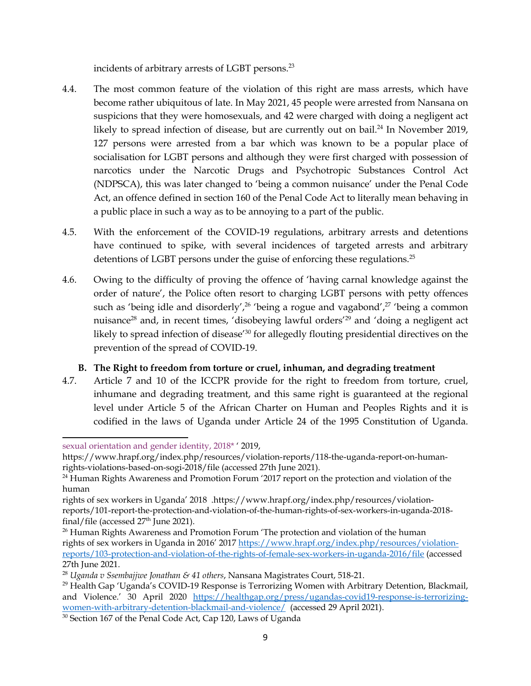incidents of arbitrary arrests of LGBT persons. 23

- <span id="page-8-0"></span>4.4. The most common feature of the violation of this right are mass arrests, which have become rather ubiquitous of late. In May 2021, 45 people were arrested from Nansana on suspicions that they were homosexuals, and <sup>42</sup> were charged with doing <sup>a</sup> negligent act likely to spread infection of disease, but are currently out on bail.<sup>24</sup> In November 2019, 127 persons were arrested from <sup>a</sup> bar which was known to be <sup>a</sup> popular place of socialisation for LGBT persons and although they were first charged with possession of narcotics under the Narcotic Drugs and Psychotropic Substances Control Act (NDPSCA), this was later changed to 'being <sup>a</sup> common nuisance' under the Penal Code Act, an offence defined in section 160 of the Penal Code Act to literally mean behaving in <sup>a</sup> public place in such <sup>a</sup> way as to be annoying to <sup>a</sup> par<sup>t</sup> of the public.
- 4.5. With the enforcement of the COVID-19 regulations, arbitrary arrests and detentions have continued to spike, with several incidences of targeted arrests and arbitrary detentions of LGBT persons under the guise of enforcing these regulations. $^{25}$
- 4.6. Owing to the difficulty of proving the offence of 'having carnal knowledge against the order of nature', the Police often resort to charging LGBT persons with petty offences such as 'being idle and disorderly',<sup>26</sup> 'being a rogue and vagabond',<sup>27</sup> 'being a common nuisance<sup>28</sup> and, in recent times, 'disobeying lawful orders'<sup>29</sup> and 'doing a negligent act likely to spread infection of disease' 30 for allegedly flouting presidential directives on the prevention of the spread of COVID-19.

### **B. The Right to freedom from torture or cruel, inhuman, and degrading treatment**

4.7. Article <sup>7</sup> and 10 of the ICCPR provide for the right to freedom from torture, cruel, inhumane and degrading treatment, and this same right is guaranteed at the regional level under Article 5 of the African Charter on Human and Peoples Rights and it is codified in the laws of Uganda under Article <sup>24</sup> of the 1995 Constitution of Uganda.

sexual orientation and gender identity, 2018\* ' 2019,

https://www.hrapf.org/index.php/resources/violation-reports/118-the-uganda-report-on-humanrights-violations-based-on-sogi-2018/file (accessed 27th June 2021).

<sup>&</sup>lt;sup>24</sup> Human Rights Awareness and Promotion Forum '2017 report on the protection and violation of the human

rights of sex workers in Uganda' <sup>2018</sup> .https://www.hrapf.org/index.php/resources/violationreports/101-report-the-protection-and-violation-of-the-human-rights-of-sex-workers-in-uganda-2018 final/file (accessed 27<sup>th</sup> June 2021).

<sup>&</sup>lt;sup>26</sup> Human Rights Awareness and Promotion Forum 'The protection and violation of the human rights of sex workers in Uganda in 2016' <sup>2017</sup> [https://www.hrapf.org/index.php/resources/violation](https://www.hrapf.org/index.php/resources/violation-reports/103-protection-and-violation-of-the-rights-of-female-sex-workers-in-uganda-2016/file)repor[ts/103-protection-and-violation-of-the-rights-of-female-sex-workers-in-uganda-2016/file](https://www.hrapf.org/index.php/resources/violation-reports/103-protection-and-violation-of-the-rights-of-female-sex-workers-in-uganda-2016/file) (accessed 27th June 2021.

<sup>28</sup> *Uganda <sup>v</sup> Ssembajjwe Jonathan & <sup>41</sup> others*, Nansana Magistrates Court, 518-21.

<sup>&</sup>lt;sup>29</sup> Health Gap 'Uganda's COVID-19 Response is Terrorizing Women with Arbitrary Detention, Blackmail, and Violence.' <sup>30</sup> April <sup>2020</sup> [https://healthgap.org/press/ugandas-covid19-response-is-terrorizing](https://healthgap.org/press/ugandas-covid19-response-is-terrorizing-women-with-arbitrary-detention-blackmail-and-violence/)[women-with-arbitrary-detention-blackmail-and-violence/](https://healthgap.org/press/ugandas-covid19-response-is-terrorizing-women-with-arbitrary-detention-blackmail-and-violence/) (accessed 29 April 2021).

<sup>&</sup>lt;sup>30</sup> Section 167 of the Penal Code Act, Cap 120, Laws of Uganda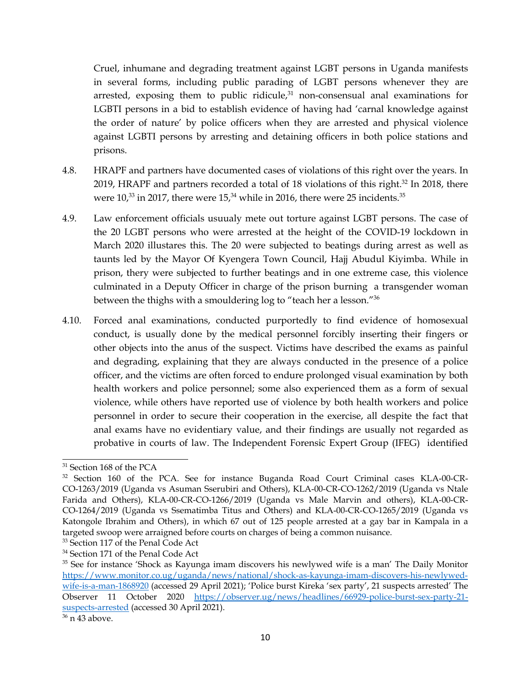Cruel, inhumane and degrading treatment against LGBT persons in Uganda manifests in several forms, including public parading of LGBT persons whenever they are arrested, exposing them to public ridicule, 31 non-consensual anal examinations for LGBTI persons in <sup>a</sup> bid to establish evidence of having had 'carnal knowledge against the order of nature' by police officers when they are arrested and physical violence against LGBTI persons by arresting and detaining officers in both police stations and prisons.

- 4.8. HRAPF and partners have documented cases of violations of this right over the years. In 2019, HRAPF and partners recorded a total of 18 violations of this right.<sup>32</sup> In 2018, there were  $10^{,33}$  in 2017, there were  $15^{,34}$  while in 2016, there were 25 incidents. $^\mathrm{35}$
- 4.9. Law enforcement officials usuualy mete out torture against LGBT persons. The case of the 20 LGBT persons who were arrested at the height of the COVID-19 lockdown in March 2020 illustares this. The 20 were subjected to beatings during arrest as well as taunts led by the Mayor Of Kyengera Town Council, Hajj Abudul Kiyimba. While in prison, thery were subjected to further beatings and in one extreme case, this violence culminated in <sup>a</sup> Deputy Officer in charge of the prison burning <sup>a</sup> transgender woman between the thighs with <sup>a</sup> smouldering log to "teach her <sup>a</sup> lesson."<sup>36</sup>
- 4.10. Forced anal examinations, conducted purportedly to find evidence of homosexual conduct, is usually done by the medical personnel forcibly inserting their fingers or other objects into the anus of the suspect. Victims have described the exams as painful and degrading, explaining that they are always conducted in the presence of <sup>a</sup> police officer, and the victims are often forced to endure prolonged visual examination by both health workers and police personnel; some also experienced them as <sup>a</sup> form of sexual violence, while others have reported use of violence by both health workers and police personnel in order to secure their cooperation in the exercise, all despite the fact that anal exams have no evidentiary value, and their findings are usually not regarded as probative in courts of law. The Independent Forensic Expert Group (IFEG) identified

<sup>&</sup>lt;sup>31</sup> Section 168 of the PCA

<sup>&</sup>lt;sup>32</sup> Section 160 of the PCA. See for instance Buganda Road Court Criminal cases KLA-00-CR-CO-1263/2019 (Uganda vs Asuman Sserubiri and Others), KLA-00-CR-CO-1262/2019 (Uganda vs Ntale Farida and Others), KLA-00-CR-CO-1266/2019 (Uganda vs Male Marvin and others), KLA-00-CR-CO-1264/2019 (Uganda vs Ssematimba Titus and Others) and KLA-00-CR-CO-1265/2019 (Uganda vs Katongole Ibrahim and Others), in which 67 out of 125 people arrested at <sup>a</sup> gay bar in Kampala in <sup>a</sup> targeted swoop were arraigned before courts on charges of being <sup>a</sup> common nuisance.

<sup>&</sup>lt;sup>33</sup> Section 117 of the Penal Code Act

<sup>&</sup>lt;sup>34</sup> Section 171 of the Penal Code Act

<sup>&</sup>lt;sup>35</sup> See for instance 'Shock as Kayunga imam discovers his newlywed wife is a man' The Daily Monitor [https://www.monitor.co.ug/uganda/news/national/shock-as-kayunga-imam-discovers-his-newlywed](https://www.monitor.co.ug/uganda/news/national/shock-as-kayunga-imam-discovers-his-newlywed-wife-is-a-man-1868920)[wife-is-a-man-1868920](https://www.monitor.co.ug/uganda/news/national/shock-as-kayunga-imam-discovers-his-newlywed-wife-is-a-man-1868920) (accessed 29 April 2021); 'Police burst Kireka 'sex party', <sup>21</sup> suspects arrested' The Observer <sup>11</sup> October 2020 [https://observer.ug/news/headlines/66929-police-burst-sex-party-21](https://observer.ug/news/headlines/66929-police-burst-sex-party-21-suspects-arrested) suspec[ts-arrested](https://observer.ug/news/headlines/66929-police-burst-sex-party-21-suspects-arrested) (accessed 30 April 2021).

<sup>&</sup>lt;sup>36</sup> n 43 above.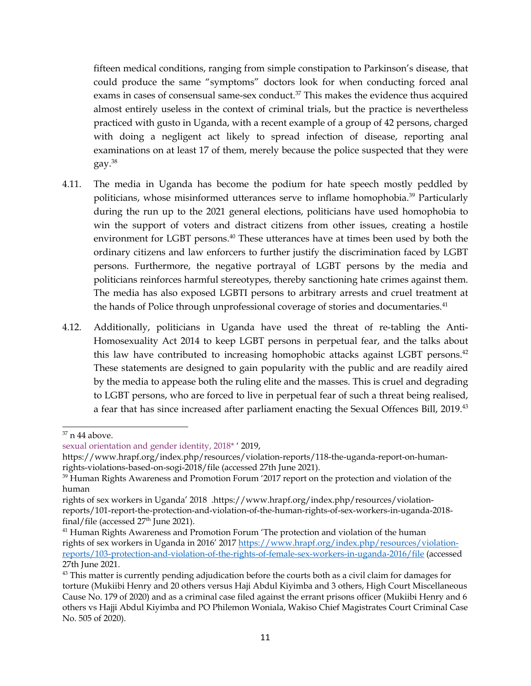fifteen medical conditions, ranging from simple constipation to Parkinson'<sup>s</sup> disease, that could produce the same "symptoms" doctors look for when conducting forced anal exams in cases of consensual same-sex conduct. 37 This makes the evidence thus acquired almost entirely useless in the context of criminal trials, but the practice is nevertheless practiced with gusto in Uganda, with <sup>a</sup> recent example of <sup>a</sup> group of <sup>42</sup> persons, charged with doing <sup>a</sup> negligent act likely to spread infection of disease, reporting anal examinations on at least <sup>17</sup> of them, merely because the police suspected that they were gay. 38

- 4.11. The media in Uganda has become the podium for hate speech mostly peddled by politicians, whose misinformed utterances serve to inflame homophobia.<sup>39</sup> Particularly during the run up to the 2021 general elections, politicians have used homophobia to win the suppor<sup>t</sup> of voters and distract citizens from other issues, creating <sup>a</sup> hostile environment for LGBT persons. 40 These utterances have at times been used by both the ordinary citizens and law enforcers to further justify the discrimination faced by LGBT persons. Furthermore, the negative portrayal of LGBT persons by the media and politicians reinforces harmful stereotypes, thereby sanctioning hate crimes against them. The media has also exposed LGBTI persons to arbitrary arrests and cruel treatment at the hands of Police through unprofessional coverage of stories and documentaries. $^{\rm 41}$
- 4.12. Additionally, politicians in Uganda have used the threat of re-tabling the Anti-Homosexuality Act 2014 to keep LGBT persons in perpetual fear, and the talks about this law have contributed to increasing homophobic attacks against LGBT persons.<sup>42</sup> These statements are designed to gain popularity with the public and are readily aired by the media to appease both the ruling elite and the masses. This is cruel and degrading to LGBT persons, who are forced to live in perpetual fear of such <sup>a</sup> threat being realised, a fear that has since increased after parliament enacting the Sexual Offences Bill, 2019.<sup>43</sup>

 $\rm{^{37}}$  n 44 above.

sexual orientation and gender identity, 2018\* ' 2019,

https://www.hrapf.org/index.php/resources/violation-reports/118-the-uganda-report-on-humanrights-violations-based-on-sogi-2018/file (accessed 27th June 2021).

<sup>&</sup>lt;sup>39</sup> Human Rights Awareness and Promotion Forum '2017 report on the protection and violation of the human

rights of sex workers in Uganda' <sup>2018</sup> .https://www.hrapf.org/index.php/resources/violationreports/101-report-the-protection-and-violation-of-the-human-rights-of-sex-workers-in-uganda-2018 final/file (accessed 27<sup>th</sup> June 2021).

<sup>&</sup>lt;sup>41</sup> Human Rights Awareness and Promotion Forum 'The protection and violation of the human rights of sex workers in Uganda in 2016' <sup>2017</sup> [https://www.hrapf.org/index.php/resources/violation](https://www.hrapf.org/index.php/resources/violation-reports/103-protection-and-violation-of-the-rights-of-female-sex-workers-in-uganda-2016/file)repor[ts/103-protection-and-violation-of-the-rights-of-female-sex-workers-in-uganda-2016/file](https://www.hrapf.org/index.php/resources/violation-reports/103-protection-and-violation-of-the-rights-of-female-sex-workers-in-uganda-2016/file) (accessed 27th June 2021.

 $^{43}$  This matter is currently pending adjudication before the courts both as a civil claim for damages for torture (Mukiibi Henry and 20 others versus Haji Abdul Kiyimba and 3 others, High Court Miscellaneous Cause No. 179 of 2020) and as <sup>a</sup> criminal case filed against the errant prisons officer (Mukiibi Henry and 6 others vs Hajji Abdul Kiyimba and PO Philemon Woniala, Wakiso Chief Magistrates Court Criminal Case No. 505 of 2020).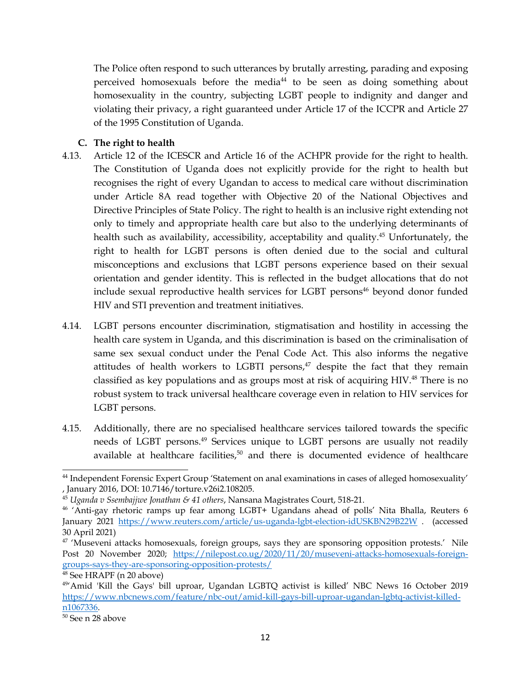<span id="page-11-0"></span>The Police often respond to such utterances by brutally arresting, parading and exposing perceived homosexuals before the media<sup>44</sup> to be seen as doing something about homosexuality in the country, subjecting LGBT people to indignity and danger and violating their privacy, <sup>a</sup> right guaranteed under Article <sup>17</sup> of the ICCPR and Article <sup>27</sup> of the 1995 Constitution of Uganda.

## **C. The right to health**

- 4.13. Article <sup>12</sup> of the ICESCR and Article 16 of the ACHPR provide for the right to health. The Constitution of Uganda does not explicitly provide for the right to health but recognises the right of every Ugandan to access to medical care without discrimination under Article 8A read together with Objective 20 of the National Objectives and Directive Principles of State Policy. The right to health is an inclusive right extending not only to timely and appropriate health care but also to the underlying determinants of health such as availability, accessibility, acceptability and quality. <sup>45</sup> Unfortunately, the right to health for LGBT persons is often denied due to the social and cultural misconceptions and exclusions that LGBT persons experience based on their sexual orientation and gender identity. This is reflected in the budget allocations that do not include sexual reproductive health services for LGBT persons 46 beyond donor funded HIV and STI prevention and treatment initiatives.
- 4.14. LGBT persons encounter discrimination, stigmatisation and hostility in accessing the health care system in Uganda, and this discrimination is based on the criminalisation of same sex sexual conduct under the Penal Code Act. This also informs the negative attitudes of health workers to LGBTI persons,<sup>47</sup> despite the fact that they remain classified as key populations and as groups most at risk of acquiring HIV.<sup>48</sup> There is no robust system to track universal healthcare coverage even in relation to HIV services for LGBT persons.
- 4.15. Additionally, there are no specialised healthcare services tailored towards the specific needs of LGBT persons. 49 Services unique to LGBT persons are usually not readily available at healthcare facilities,<sup>50</sup> and there is documented evidence of healthcare

<sup>44</sup> Independent Forensic Expert Group 'Statement on anal examinations in cases of alleged homosexuality' , January 2016, DOI: 10.7146/torture.v26i2.108205.

<sup>45</sup> *Uganda <sup>v</sup> Ssembajjwe Jonathan & <sup>41</sup> others*, Nansana Magistrates Court, 518-21.

<sup>46</sup> 'Anti-gay rhetoric ramps up fear among LGBT+ Ugandans ahead of polls' Nita Bhalla, Reuters 6 January 2021 <https://www.reuters.com/article/us-uganda-lgbt-election-idUSKBN29B22W> . (accessed 30 April 2021)

<sup>&</sup>lt;sup>47</sup> 'Museveni attacks homosexuals, foreign groups, says they are sponsoring opposition protests.' Nile Post 20 November 2020; [https://nilepost.co.ug/2020/11/20/museveni-attacks-homosexuals-foreign](https://nilepost.co.ug/2020/11/20/museveni-attacks-homosexuals-foreign-groups-says-they-are-sponsoring-opposition-protests/)groups-says-[they-are-sponsoring-opposition-protests/](https://nilepost.co.ug/2020/11/20/museveni-attacks-homosexuals-foreign-groups-says-they-are-sponsoring-opposition-protests/)

<sup>48</sup> See HRAPF (n 20 above)

<sup>49</sup> 'Amid 'Kill the Gays' bill uproar, Ugandan LGBTQ activist is killed' NBC News 16 October 2019 [https://www.nbcnews.com/feature/nbc-out/amid-kill-gays-bill-uproar-ugandan-lgbtq-activist-killed](https://www.nbcnews.com/feature/nbc-out/amid-kill-gays-bill-uproar-ugandan-lgbtq-activist-killed-n1067336)[n1067336](https://www.nbcnews.com/feature/nbc-out/amid-kill-gays-bill-uproar-ugandan-lgbtq-activist-killed-n1067336).

<sup>&</sup>lt;sup>50</sup> See n 28 above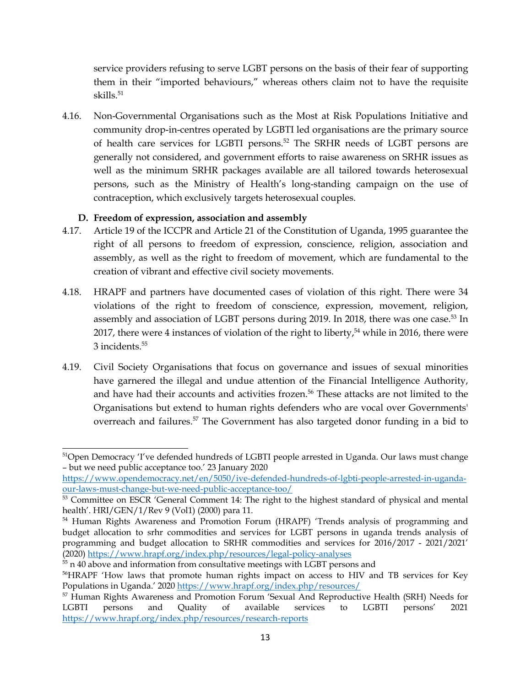<span id="page-12-0"></span>service providers refusing to serve LGBT persons on the basis of their fear of supporting them in their "imported behaviours," whereas others claim not to have the requisite skills. 51

4.16. Non-Governmental Organisations such as the Most at Risk Populations Initiative and community drop-in-centres operated by LGBTI led organisations are the primary source of health care services for LGBTI persons. 52 The SRHR needs of LGBT persons are generally not considered, and governmen<sup>t</sup> efforts to raise awareness on SRHR issues as well as the minimum SRHR packages available are all tailored towards heterosexual persons, such as the Ministry of Health'<sup>s</sup> long-standing campaign on the use of contraception, which exclusively targets heterosexual couples.

#### **D. Freedom of expression, association and assembly**

- 4.17. Article 19 of the ICCPR and Article <sup>21</sup> of the Constitution of Uganda, 1995 guarantee the right of all persons to freedom of expression, conscience, religion, association and assembly, as well as the right to freedom of movement, which are fundamental to the creation of vibrant and effective civil society movements.
- 4.18. HRAPF and partners have documented cases of violation of this right. There were 34 violations of the right to freedom of conscience, expression, movement, religion, assembly and association of LGBT persons during 2019. In 2018, there was one case.<sup>53</sup> In 2017, there were <sup>4</sup> instances of violation of the right to liberty, <sup>54</sup> while in 2016, there were 3 incidents. 55
- 4.19. Civil Society Organisations that focus on governance and issues of sexual minorities have garnered the illegal and undue attention of the Financial Intelligence Authority, and have had their accounts and activities frozen. 56 These attacks are not limited to the Organisations but extend to human rights defenders who are vocal over Governments' overreach and failures. 57 The Government has also targeted donor funding in <sup>a</sup> bid to

<sup>&</sup>lt;sup>51</sup>Open Democracy 'I've defended hundreds of LGBTI people arrested in Uganda. Our laws must change – but we need public acceptance too.' <sup>23</sup> January <sup>2020</sup>

[https://www.opendemocracy.net/en/5050/ive-defended-hundreds-of-lgbti-people-arrested-in-uganda](https://www.opendemocracy.net/en/5050/ive-defended-hundreds-of-lgbti-people-arrested-in-uganda-our-laws-must-change-but-we-need-public-acceptance-too/)[our-laws-must-change-but-we-need-public-acceptance-too/](https://www.opendemocracy.net/en/5050/ive-defended-hundreds-of-lgbti-people-arrested-in-uganda-our-laws-must-change-but-we-need-public-acceptance-too/)

<sup>&</sup>lt;sup>53</sup> Committee on ESCR 'General Comment 14: The right to the highest standard of physical and mental health'. HRI/GEN/1/Rev 9 (Vol1) (2000) para 11.

<sup>54</sup> Human Rights Awareness and Promotion Forum (HRAPF) 'Trends analysis of programming and budget allocation to srhr commodities and services for LGBT persons in uganda trends analysis of programming and budget allocation to SRHR commodities and services for 2016/2017 - 2021/2021' (2020) <https://www.hrapf.org/index.php/resources/legal-policy-analyses>

 $^{55}$  n 40 above and information from consultative meetings with LGBT persons and

<sup>&</sup>lt;sup>56</sup>HRAPF 'How laws that promote human rights impact on access to HIV and TB services for Key Populations in Uganda.' 2020 <https://www.hrapf.org/index.php/resources/>

<sup>&</sup>lt;sup>57</sup> Human Rights Awareness and Promotion Forum 'Sexual And Reproductive Health (SRH) Needs for LGBTI persons and Quality of available services to LGBTI persons' <sup>2021</sup> <https://www.hrapf.org/index.php/resources/research-reports>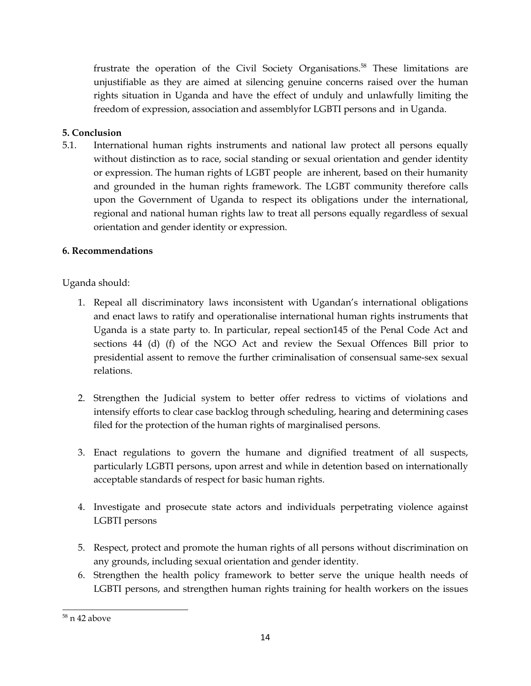<span id="page-13-0"></span>frustrate the operation of the Civil Society Organisations. 58 These limitations are unjustifiable as they are aimed at silencing genuine concerns raised over the human rights situation in Uganda and have the effect of unduly and unlawfully limiting the freedom of expression, association and assemblyfor LGBTI persons and in Uganda.

## **5. Conclusion**

5.1. International human rights instruments and national law protect all persons equally without distinction as to race, social standing or sexual orientation and gender identity or expression. The human rights of LGBT people are inherent, based on their humanity and grounded in the human rights framework. The LGBT community therefore calls upon the Government of Uganda to respec<sup>t</sup> its obligations under the international, regional and national human rights law to treat all persons equally regardless of sexual orientation and gender identity or expression.

## **6. Recommendations**

Uganda should:

- 1. Repeal all discriminatory laws inconsistent with Ugandan'<sup>s</sup> international obligations and enact laws to ratify and operationalise international human rights instruments that Uganda is <sup>a</sup> state party to. In particular, repeal section145 of the Penal Code Act and sections 44 (d) (f) of the NGO Act and review the Sexual Offences Bill prior to presidential assent to remove the further criminalisation of consensual same-sex sexual relations.
- 2. Strengthen the Judicial system to better offer redress to victims of violations and intensify efforts to clear case backlog through scheduling, hearing and determining cases filed for the protection of the human rights of marginalised persons.
- 3. Enact regulations to govern the humane and dignified treatment of all suspects, particularly LGBTI persons, upon arrest and while in detention based on internationally acceptable standards of respec<sup>t</sup> for basic human rights.
- 4. Investigate and prosecute state actors and individuals perpetrating violence against LGBTI persons
- 5. Respect, protect and promote the human rights of all persons without discrimination on any grounds, including sexual orientation and gender identity.
- 6. Strengthen the health policy framework to better serve the unique health needs of LGBTI persons, and strengthen human rights training for health workers on the issues

<sup>&</sup>lt;sup>58</sup> n 42 above